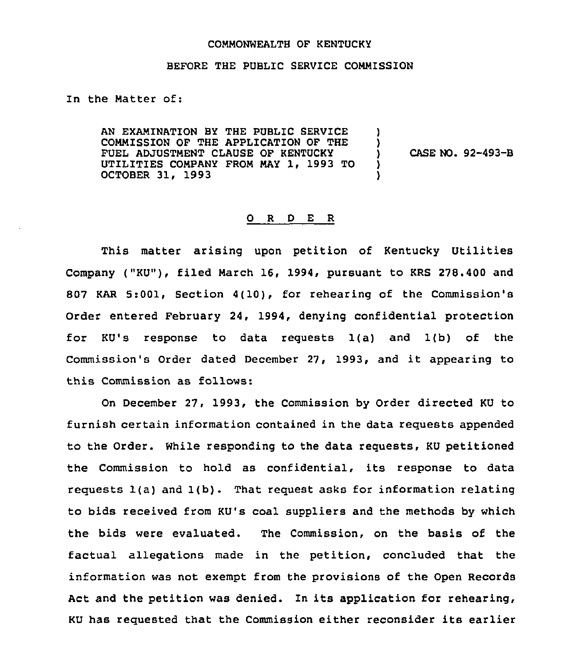## COMMONWEALTH OF KENTUCKY

## BEFORE THE PUBLIC SERVICE COMMISSION

In the Matter of:

AN EXAMINATION BY THE PUBLIC SERVICE COMMISSION OF THE APPLICATION OF THE FUEL ADJUSTMENT CLAUSE OF KENTUCKY UTILITIES COMPANY FROM MAY 1, 1993 TO OCTOBER 31, 1993

) CASE NO. 92-493-B

) )

) )

## 0 <sup>R</sup> <sup>D</sup> E R

This matter arising upon petition of Kentucky Utilities Company ("KU"), filed March 16, 1994, pursuant to KRS 278.400 and 807 KAR 5:001, Section 4(10), for rehearing of the Commission's Order entered February 24, 1994, denying confidential protection for KU's response to data requests 1(a) and 1(b) of the Commission's Order dated December 27, 1993, and it appearing to this Commission as follows:

On December 27, 1993, the Commission by Order directed KU to furnish certain information contained in the data requests appended to the Order. While responding to the data requests, KU petitioned the Commission to hold as confidential, its response to data requests 1(a) and 1(b). That request asks for information relating to bids received from KU's coal suppliers and the methods by which the bids were evaluated. The Commission, on the basis of the factual allegations made in the petition, concluded that the information was not exempt from the provisions of the Open Records Act and the petition was denied. In its application for rehearing, KU has requested that the Commission either reconsider its earlier